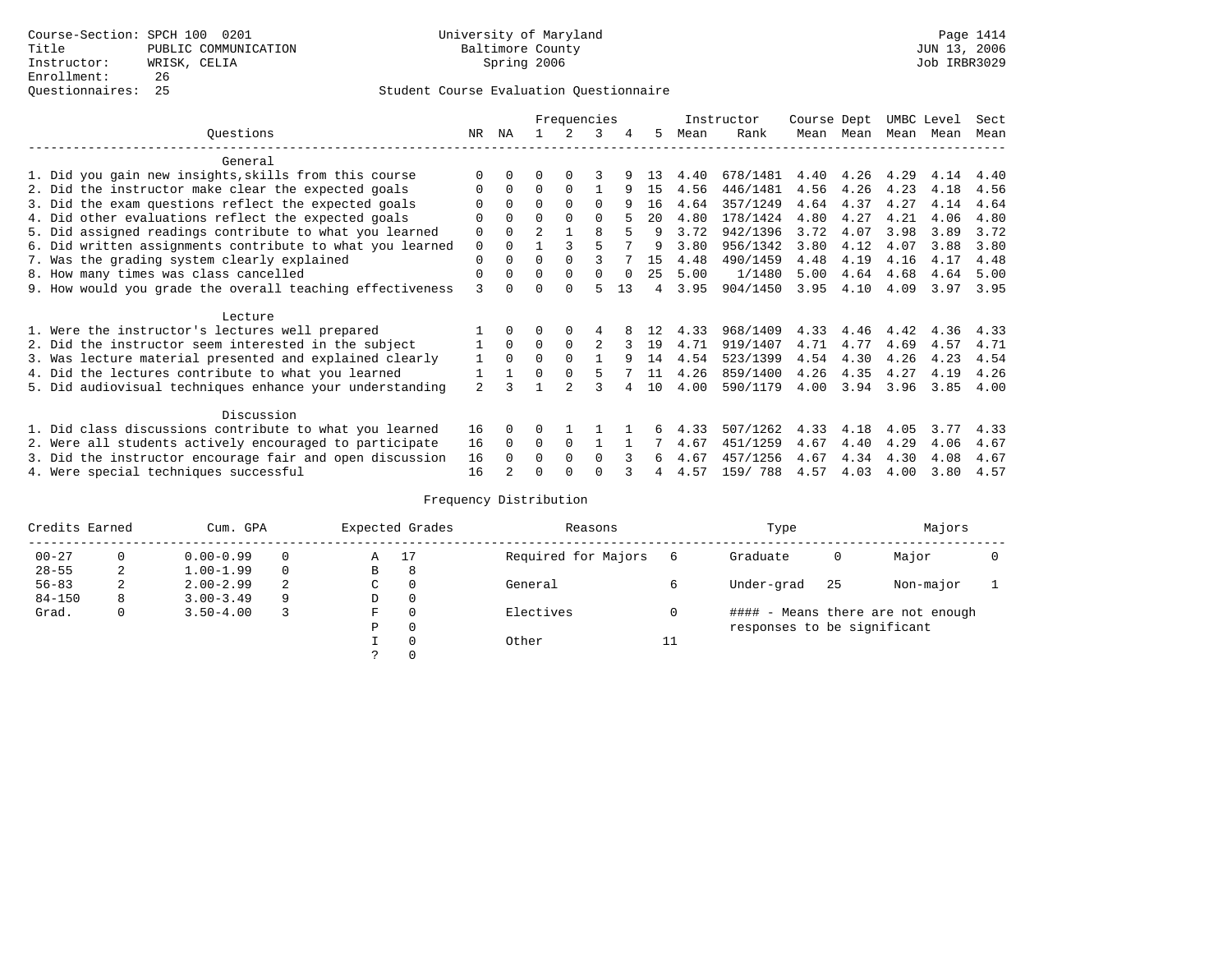### Student Course Evaluation Questionnaire

|                                                           |                | Frequencies  |                |               |                |          |     |      | Instructor | Course Dept |      | UMBC Level |      | Sect |
|-----------------------------------------------------------|----------------|--------------|----------------|---------------|----------------|----------|-----|------|------------|-------------|------|------------|------|------|
| Questions                                                 | NR.            | ΝA           |                |               | 3              | 4        | 5.  | Mean | Rank       | Mean        | Mean | Mean       | Mean | Mean |
| General                                                   |                |              |                |               |                |          |     |      |            |             |      |            |      |      |
| 1. Did you gain new insights, skills from this course     |                | $\Omega$     | O              | $\Omega$      |                |          | -13 | 4.40 | 678/1481   | 4.40        | 4.26 | 4.29       | 4.14 | 4.40 |
| 2. Did the instructor make clear the expected goals       |                | $\Omega$     | $\Omega$       | $\Omega$      |                | 9        | 15  | 4.56 | 446/1481   | 4.56        | 4.26 | 4.23       | 4.18 | 4.56 |
| 3. Did the exam questions reflect the expected goals      |                | $\Omega$     | 0              | $\Omega$      | $\Omega$       | 9        | 16  | 4.64 | 357/1249   | 4.64        | 4.37 | 4.27       | 4.14 | 4.64 |
| 4. Did other evaluations reflect the expected goals       | O              | $\Omega$     | 0              | $\Omega$      | $\Omega$       |          | 20  | 4.80 | 178/1424   | 4.80        | 4.27 | 4.21       | 4.06 | 4.80 |
| 5. Did assigned readings contribute to what you learned   | 0              | $\Omega$     | $\mathfrak{D}$ |               | 8              |          | 9   | 3.72 | 942/1396   | 3.72        | 4.07 | 3.98       | 3.89 | 3.72 |
| 6. Did written assignments contribute to what you learned | 0              | $\Omega$     |                |               |                |          | 9   | 3.80 | 956/1342   | 3.80        | 4.12 | 4.07       | 3.88 | 3.80 |
| 7. Was the grading system clearly explained               | 0              | $\Omega$     |                | $\Omega$      |                |          | 15  | 4.48 | 490/1459   | 4.48        | 4.19 | 4.16       | 4.17 | 4.48 |
| 8. How many times was class cancelled                     | $\Omega$       | $\Omega$     | 0              | $\Omega$      | 0              | $\Omega$ | 25  | 5.00 | 1/1480     | 5.00        | 4.64 | 4.68       | 4.64 | 5.00 |
| 9. How would you grade the overall teaching effectiveness | ζ              | <sup>n</sup> |                | $\cap$        | г,             | 13       | 4   | 3.95 | 904/1450   | 3.95        | 4.10 | 4.09       | 3.97 | 3.95 |
| Lecture                                                   |                |              |                |               |                |          |     |      |            |             |      |            |      |      |
| 1. Were the instructor's lectures well prepared           |                |              |                |               |                |          |     | 4.33 | 968/1409   | 4.33        | 4.46 | 4.42       | 4.36 | 4.33 |
| 2. Did the instructor seem interested in the subject      |                | $\Omega$     | $\Omega$       | $\Omega$      | $\mathfrak{D}$ |          | 19  | 4.71 | 919/1407   | 4.71        | 4.77 | 4.69       | 4.57 | 4.71 |
| 3. Was lecture material presented and explained clearly   |                | $\Omega$     | 0              | $\Omega$      |                | q        | 14  | 4.54 | 523/1399   | 4.54        | 4.30 | 4.26       | 4.23 | 4.54 |
| 4. Did the lectures contribute to what you learned        |                |              | $\Omega$       | $\Omega$      |                |          | 11  | 4.26 | 859/1400   | 4.26        | 4.35 | 4.27       | 4.19 | 4.26 |
| 5. Did audiovisual techniques enhance your understanding  | $\overline{2}$ |              |                | $\mathcal{D}$ |                |          | 10  | 4.00 | 590/1179   | 4.00        | 3.94 | 3.96       | 3.85 | 4.00 |
| Discussion                                                |                |              |                |               |                |          |     |      |            |             |      |            |      |      |
| 1. Did class discussions contribute to what you learned   | 16             | $\Omega$     | 0              |               |                |          |     | 4.33 | 507/1262   | 4.33        | 4.18 | 4.05       | 3.77 | 4.33 |
| 2. Were all students actively encouraged to participate   | 16             | $\Omega$     | $\Omega$       | 0             |                |          |     | 4.67 | 451/1259   | 4.67        | 4.40 | 4.29       | 4.06 | 4.67 |
| 3. Did the instructor encourage fair and open discussion  | 16             |              | U              | $\Omega$      | <sup>0</sup>   |          | 6   | 4.67 | 457/1256   | 4.67        | 4.34 | 4.30       | 4.08 | 4.67 |
| 4. Were special techniques successful                     | 16             |              |                |               |                |          |     | 4.57 | 159/788    | 4.57        | 4.03 | 4.00       | 3.80 | 4.57 |

# Frequency Distribution

| Credits Earned |   | Cum. GPA      |   | Expected Grades | Reasons  |                     | Type     | Majors                            |    |           |  |
|----------------|---|---------------|---|-----------------|----------|---------------------|----------|-----------------------------------|----|-----------|--|
| $00 - 27$      | 0 | $0.00 - 0.99$ |   | A               | 17       | Required for Majors | 6        | Graduate                          | 0  | Major     |  |
| $28 - 55$      | 2 | $1.00 - 1.99$ |   | B               | 8        |                     |          |                                   |    |           |  |
| $56 - 83$      | 2 | $2.00 - 2.99$ | 2 | $\sim$<br>◡     | $\Omega$ | General             |          | Under-grad                        | 25 | Non-major |  |
| $84 - 150$     | 8 | $3.00 - 3.49$ | 9 | D               | 0        |                     |          |                                   |    |           |  |
| Grad.          | 0 | $3.50 - 4.00$ |   | F               | 0        | Electives           |          | #### - Means there are not enough |    |           |  |
|                |   |               |   | Ρ               | 0        |                     |          | responses to be significant       |    |           |  |
|                |   |               |   |                 | 0        | Other               | 11<br>ᅩᅩ |                                   |    |           |  |
|                |   |               |   | $\mathcal{L}$   |          |                     |          |                                   |    |           |  |